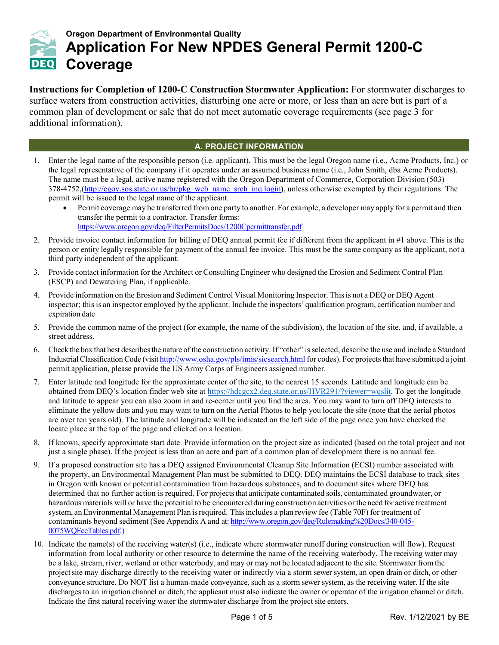

# **Oregon Department of Environmental Quality Application For New NPDES General Permit 1200-C DEQ** Coverage

**Instructions for Completion of 1200-C Construction Stormwater Application:** For stormwater discharges to surface waters from construction activities, disturbing one acre or more, or less than an acre but is part of a common plan of development or sale that do not meet automatic coverage requirements (see page 3 for additional information).

# **A. PROJECT INFORMATION**

- 1. Enter the legal name of the responsible person (i.e. applicant). This must be the legal Oregon name (i.e., Acme Products, Inc.) or the legal representative of the company if it operates under an assumed business name (i.e., John Smith, dba Acme Products). The name must be a legal, active name registered with the Oregon Department of Commerce, Corporation Division (503) 378[-4752,\(http://egov.sos.state.or.us/br/pkg\\_web\\_name\\_srch\\_inq.login\)](http://egov.sos.state.or.us/br/pkg_web_name_srch_inq.login), unless otherwise exempted by their regulations. The permit will be issued to the legal name of the applicant.
	- Permit coverage may be transferred from one party to another. For example, a developer may apply for a permit and then transfer the permit to a contractor. Transfer forms: <https://www.oregon.gov/deq/FilterPermitsDocs/1200Cpermittransfer.pdf>
- 2. Provide invoice contact information for billing of DEQ annual permit fee if different from the applicant in #1 above. This is the person or entity legally responsible for payment of the annual fee invoice. This must be the same company as the applicant, not a third party independent of the applicant.
- 3. Provide contact information for the Architect or Consulting Engineer who designed the Erosion and Sediment Control Plan (ESCP) and Dewatering Plan, if applicable.
- 4. Provide information on the Erosion and Sediment Control Visual Monitoring Inspector. Thisis not a DEQ or DEQ Agent inspector; thisis an inspector employed by the applicant. Include the inspectors' qualification program, certification number and expiration date
- 5. Provide the common name of the project (for example, the name of the subdivision), the location of the site, and, if available, a street address.
- 6. Check the box that best describesthe nature of the construction activity. If "other" isselected, describe the use and include a Standard Industrial Classification Code (visit <http://www.osha.gov/pls/imis/sicsearch.html> for codes). For projects that have submitted a joint permit application, please provide the US Army Corps of Engineers assigned number.
- 7. Enter latitude and longitude for the approximate center of the site, to the nearest 15 seconds. Latitude and longitude can be obtained from DEQ's location finder web site at [https://hdcgcx2.deq.state.or.us/HVR291/?viewer=wqslit.](https://hdcgcx2.deq.state.or.us/HVR291/?viewer=wqslit) To get the longitude and latitude to appear you can also zoom in and re-center until you find the area. You may want to turn off DEQ interests to eliminate the yellow dots and you may want to turn on the Aerial Photos to help you locate the site (note that the aerial photos are over ten years old). The latitude and longitude will be indicated on the left side of the page once you have checked the locate place at the top of the page and clicked on a location.
- 8. If known, specify approximate start date. Provide information on the project size as indicated (based on the total project and not just a single phase). If the project is less than an acre and part of a common plan of development there is no annual fee.
- 9. If a proposed construction site has a DEQ assigned Environmental Cleanup Site Information (ECSI) number associated with the property, an Environmental Management Plan must be submitted to DEQ. DEQ maintains the ECSI database to track sites in Oregon with known or potential contamination from hazardous substances, and to document sites where DEQ has determined that no further action is required. For projects that anticipate contaminated soils, contaminated groundwater, or hazardous materials will or have the potential to be encountered during construction activities orthe need for active treatment system, an Environmental Management Plan is required. This includes a plan review fee (Table 70F) for treatment of contaminants beyond sediment (See Appendix A and at[: http://www.oregon.gov/deq/Rulemaking%20Docs/340-045-](http://www.oregon.gov/deq/Rulemaking%20Docs/340-045-0075WQFeeTables.pdf) [0075WQFeeTables.pdf.](http://www.oregon.gov/deq/Rulemaking%20Docs/340-045-0075WQFeeTables.pdf))
- 10. Indicate the name(s) of the receiving water(s) (i.e., indicate where stormwater runoff during construction will flow). Request information from local authority or other resource to determine the name of the receiving waterbody. The receiving water may be a lake, stream, river, wetland or other waterbody, and may or may not be located adjacent to the site. Stormwater from the projectsite may discharge directly to the receiving water or indirectly via a storm sewer system, an open drain or ditch, or other conveyance structure. Do NOT list a human-made conveyance, such as a storm sewer system, as the receiving water. If the site discharges to an irrigation channel or ditch, the applicant must also indicate the owner or operator of the irrigation channel or ditch. Indicate the first natural receiving water the stormwater discharge from the project site enters.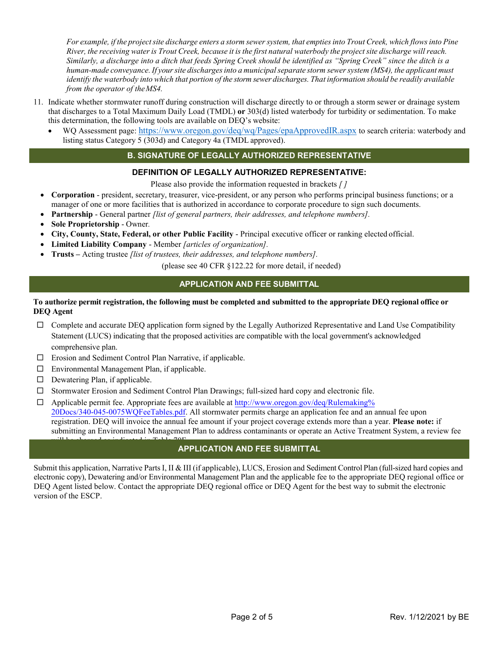For example, if the project site discharge enters a storm sewer system, that empties into Trout Creek, which flows into Pine River, the receiving water is Trout Creek, because it is the first natural waterbody the project site discharge will reach. *Similarly, a discharge into a ditch that feeds Spring Creek should be identified as "Spring Creek" since the ditch is a human-made conveyance. If yoursite dischargesinto a municipalseparate storm sewersystem (MS4), the applicant must*  identify the waterbody into which that portion of the storm sewer discharges. That information should be readily available *from the operator of theMS4.*

- 11. Indicate whether stormwater runoff during construction will discharge directly to or through a storm sewer or drainage system that discharges to a Total Maximum Daily Load (TMDL) **or** 303(d) listed waterbody for turbidity or sedimentation. To make this determination, the following tools are available on DEQ's website:
	- WQ Assessment page: <https://www.oregon.gov/deq/wq/Pages/epaApprovedIR.aspx> to search criteria: waterbody and listing status Category 5 (303d) and Category 4a (TMDL approved).

# **B. SIGNATURE OF LEGALLY AUTHORIZED REPRESENTATIVE**

### **DEFINITION OF LEGALLY AUTHORIZED REPRESENTATIVE:**

Please also provide the information requested in brackets *[ ]*

- **Corporation**  president, secretary, treasurer, vice-president, or any person who performs principal business functions; or a manager of one or more facilities that is authorized in accordance to corporate procedure to sign such documents.
- **Partnership**  General partner *[list of general partners, their addresses, and telephone numbers].*
- **Sole Proprietorship**  Owner*.*
- **City, County, State, Federal, or other Public Facility**  Principal executive officer or ranking elected official.
- **Limited Liability Company**  Member *[articles of organization].*
- **Trusts** Acting trustee *[list of trustees, their addresses, and telephone numbers].*

(please see 40 CFR §122.22 for more detail, if needed)

## **APPLICATION AND FEE SUBMITTAL**

#### **To authorize permit registration, the following must be completed and submitted to the appropriate DEQ regional office or DEQ Agent**

- $\Box$  Complete and accurate DEQ application form signed by the Legally Authorized Representative and Land Use Compatibility Statement (LUCS) indicating that the proposed activities are compatible with the local government's acknowledged comprehensive plan.
- Erosion and Sediment Control Plan Narrative, if applicable.
- $\Box$  Environmental Management Plan, if applicable.
- $\square$  Dewatering Plan, if applicable.
- $\Box$  Stormwater Erosion and Sediment Control Plan Drawings; full-sized hard copy and electronic file.
- $\Box$  [Applicable permit](http://www.oregon.gov/deq/Rulemaking%20Docs/340-045-0075WQFeeTables.pdf) fee. Appropriate fees are available at http://www.oregon.gov/deq/Rulemaking% 20Docs/340-045-0075WQFeeTables.pdf. All stormwater permits charge an application fee and an annual fee upon registration. DEQ will invoice the annual fee amount if your project coverage extends more than a year. **Please note:** if submitting an Environmental Management Plan to address contaminants or operate an Active Treatment System, a review fee

#### will be charged as indicated in Table 70F. **APPLICATION AND FEE SUBMITTAL**

Submit this application, Narrative Parts I, II & III (if applicable), LUCS, Erosion and Sediment Control Plan (full-sized hard copies and electronic copy), Dewatering and/or Environmental Management Plan and the applicable fee to the appropriate DEQ regional office or DEQ Agent listed below. Contact the appropriate DEQ regional office or DEQ Agent for the best way to submit the electronic version of the ESCP.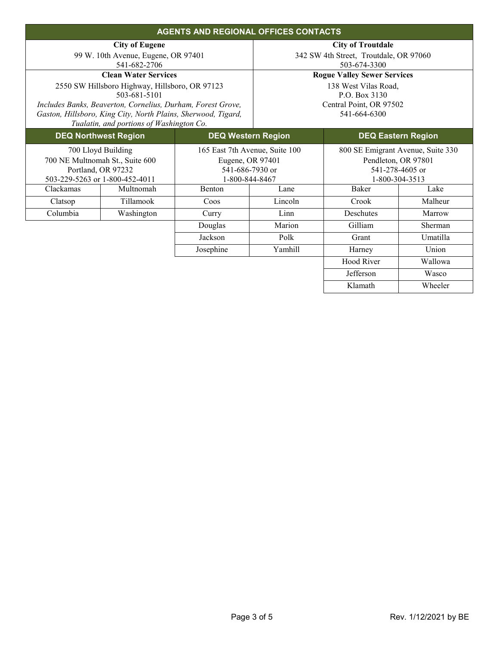| <b>AGENTS AND REGIONAL OFFICES CONTACTS</b> |                                                                             |                                |                                         |                                        |                     |  |  |
|---------------------------------------------|-----------------------------------------------------------------------------|--------------------------------|-----------------------------------------|----------------------------------------|---------------------|--|--|
|                                             | <b>City of Eugene</b>                                                       |                                | <b>City of Troutdale</b>                |                                        |                     |  |  |
|                                             | 99 W. 10th Avenue, Eugene, OR 97401                                         |                                |                                         | 342 SW 4th Street, Troutdale, OR 97060 |                     |  |  |
|                                             | 541-682-2706                                                                |                                | 503-674-3300                            |                                        |                     |  |  |
|                                             | <b>Clean Water Services</b>                                                 |                                | <b>Rogue Valley Sewer Services</b>      |                                        |                     |  |  |
|                                             | 2550 SW Hillsboro Highway, Hillsboro, OR 97123                              |                                | 138 West Vilas Road,                    |                                        |                     |  |  |
|                                             | 503-681-5101<br>Includes Banks, Beaverton, Cornelius, Durham, Forest Grove, |                                | P.O. Box 3130                           |                                        |                     |  |  |
|                                             | Gaston, Hillsboro, King City, North Plains, Sherwood, Tigard,               |                                | Central Point, OR 97502<br>541-664-6300 |                                        |                     |  |  |
|                                             | Tualatin, and portions of Washington Co.                                    |                                |                                         |                                        |                     |  |  |
| <b>DEQ Northwest Region</b>                 |                                                                             | <b>DEQ Western Region</b>      |                                         | <b>DEQ Eastern Region</b>              |                     |  |  |
| 700 Lloyd Building                          |                                                                             | 165 East 7th Avenue, Suite 100 |                                         | 800 SE Emigrant Avenue, Suite 330      |                     |  |  |
|                                             | 700 NE Multnomah St., Suite 600                                             |                                | Eugene, OR 97401                        |                                        | Pendleton, OR 97801 |  |  |
|                                             | Portland, OR 97232                                                          | 541-686-7930 or                |                                         | 541-278-4605 or                        |                     |  |  |
| 503-229-5263 or 1-800-452-4011              |                                                                             | 1-800-844-8467                 |                                         | 1-800-304-3513                         |                     |  |  |
| Clackamas                                   | Multnomah                                                                   | Benton                         | Lane                                    | <b>Baker</b>                           | Lake                |  |  |
| Clatsop                                     | Tillamook                                                                   | Coos                           | Lincoln                                 | Crook                                  | Malheur             |  |  |
| Columbia                                    | Washington                                                                  | Curry                          | Linn                                    | Deschutes                              | Marrow              |  |  |
|                                             |                                                                             | Douglas                        | Marion                                  | Gilliam                                | Sherman             |  |  |
|                                             |                                                                             | Jackson                        | Polk                                    | Grant                                  | Umatilla            |  |  |
|                                             |                                                                             | Josephine                      | Yamhill                                 | Harney                                 | Union               |  |  |
|                                             |                                                                             |                                |                                         | Hood River                             | Wallowa             |  |  |
|                                             |                                                                             |                                |                                         | Jefferson                              | Wasco               |  |  |
|                                             |                                                                             |                                |                                         | Klamath                                | Wheeler             |  |  |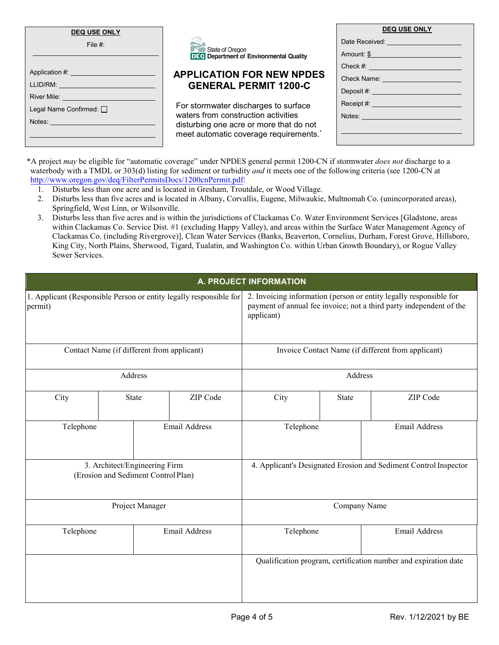| <b>DEQ USE ONLY</b>                              |                                                                   | <b>DEQ USE ONLY</b>                                                                                                                                                                                                            |  |  |
|--------------------------------------------------|-------------------------------------------------------------------|--------------------------------------------------------------------------------------------------------------------------------------------------------------------------------------------------------------------------------|--|--|
| File $#$ :                                       |                                                                   | Date Received: ________________________                                                                                                                                                                                        |  |  |
|                                                  | State of Oregon<br><b>DEQ</b> Department of Environmental Quality | Amount: \$                                                                                                                                                                                                                     |  |  |
|                                                  |                                                                   | Check #: All the state of the state of the state of the state of the state of the state of the state of the state of the state of the state of the state of the state of the state of the state of the state of the state of t |  |  |
| Application #: ___________________________       | <b>APPLICATION FOR NEW NPDES</b>                                  | Check Name: Value of the Check Name:                                                                                                                                                                                           |  |  |
|                                                  | <b>GENERAL PERMIT 1200-C</b>                                      |                                                                                                                                                                                                                                |  |  |
| River Mile: <u>_____________________________</u> | For stormwater discharges to surface                              |                                                                                                                                                                                                                                |  |  |
| Legal Name Confirmed: □                          | waters from construction activities                               | Notes: Notes: Notes: Notes: Notes: Notes: Notes: Notes: Notes: Notes: Notes: Notes: Notes: Notes: Notes: Notes                                                                                                                 |  |  |
|                                                  | disturbing one acre or more that do not                           |                                                                                                                                                                                                                                |  |  |
|                                                  | meet automatic coverage requirements.*                            |                                                                                                                                                                                                                                |  |  |

\*A project *may* be eligible for "automatic coverage" under NPDES general permit 1200-CN if stormwater *does not* discharge to a waterbody with a TMDL or 303(d) listing for sediment or turbidity *and* it meets one of the following criteria (see 1200-CN at [http://www.oregon.gov/deq/FilterPermitsDocs/1200cnPermit.pdf:](http://www.oregon.gov/deq/FilterPermitsDocs/1200cnPermit.pdf)

- 1. Disturbs less than one acre and is located in Gresham, Troutdale, or Wood Village.
- 2. Disturbs less than five acres and is located in Albany, Corvallis, Eugene, Milwaukie, Multnomah Co. (unincorporated areas), Springfield, West Linn, or Wilsonville.
- 3. Disturbs less than five acres and is within the jurisdictions of Clackamas Co. Water Environment Services [Gladstone, areas within Clackamas Co. Service Dist. #1 (excluding Happy Valley), and areas within the Surface Water Management Agency of Clackamas Co. (including Rivergrove)], Clean Water Services (Banks, Beaverton, Cornelius, Durham, Forest Grove, Hillsboro, King City, North Plains, Sherwood, Tigard, Tualatin, and Washington Co. within Urban Growth Boundary), or Rogue Valley Sewer Services.

| A. PROJECT INFORMATION                                                        |  |       |                                                                  |                                                                                                                                                         |                                                                 |                      |  |
|-------------------------------------------------------------------------------|--|-------|------------------------------------------------------------------|---------------------------------------------------------------------------------------------------------------------------------------------------------|-----------------------------------------------------------------|----------------------|--|
| 1. Applicant (Responsible Person or entity legally responsible for<br>permit) |  |       |                                                                  | 2. Invoicing information (person or entity legally responsible for<br>payment of annual fee invoice; not a third party independent of the<br>applicant) |                                                                 |                      |  |
| Contact Name (if different from applicant)                                    |  |       |                                                                  | Invoice Contact Name (if different from applicant)                                                                                                      |                                                                 |                      |  |
| Address                                                                       |  |       |                                                                  | Address                                                                                                                                                 |                                                                 |                      |  |
| City                                                                          |  | State | ZIP Code                                                         | City                                                                                                                                                    | State                                                           | ZIP Code             |  |
| Telephone                                                                     |  |       | <b>Email Address</b>                                             | Telephone                                                                                                                                               |                                                                 | Email Address        |  |
| 3. Architect/Engineering Firm<br>(Erosion and Sediment Control Plan)          |  |       | 4. Applicant's Designated Erosion and Sediment Control Inspector |                                                                                                                                                         |                                                                 |                      |  |
| Project Manager                                                               |  |       |                                                                  | Company Name                                                                                                                                            |                                                                 |                      |  |
| Telephone                                                                     |  |       | <b>Email Address</b>                                             | Telephone                                                                                                                                               |                                                                 | <b>Email Address</b> |  |
|                                                                               |  |       |                                                                  |                                                                                                                                                         | Qualification program, certification number and expiration date |                      |  |